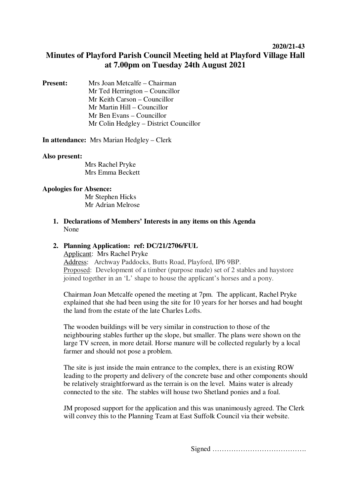## **2020/21-43**

# **Minutes of Playford Parish Council Meeting held at Playford Village Hall at 7.00pm on Tuesday 24th August 2021**

**Present:** Mrs Joan Metcalfe – Chairman Mr Ted Herrington – Councillor Mr Keith Carson – Councillor Mr Martin Hill – Councillor Mr Ben Evans – Councillor Mr Colin Hedgley – District Councillor

**In attendance:** Mrs Marian Hedgley – Clerk

#### **Also present:**

Mrs Rachel Pryke Mrs Emma Beckett

#### **Apologies for Absence:**

Mr Stephen Hicks Mr Adrian Melrose

**1. Declarations of Members' Interests in any items on this Agenda** None

# **2. Planning Application: ref: DC/21/2706/FUL**

Applicant: Mrs Rachel Pryke Address: Archway Paddocks, Butts Road, Playford, IP6 9BP. Proposed: Development of a timber (purpose made) set of 2 stables and haystore joined together in an 'L' shape to house the applicant's horses and a pony.

Chairman Joan Metcalfe opened the meeting at 7pm. The applicant, Rachel Pryke explained that she had been using the site for 10 years for her horses and had bought the land from the estate of the late Charles Lofts.

The wooden buildings will be very similar in construction to those of the neighbouring stables further up the slope, but smaller. The plans were shown on the large TV screen, in more detail. Horse manure will be collected regularly by a local farmer and should not pose a problem.

The site is just inside the main entrance to the complex, there is an existing ROW leading to the property and delivery of the concrete base and other components should be relatively straightforward as the terrain is on the level. Mains water is already connected to the site. The stables will house two Shetland ponies and a foal.

JM proposed support for the application and this was unanimously agreed. The Clerk will convey this to the Planning Team at East Suffolk Council via their website.

Signed ………………………………….